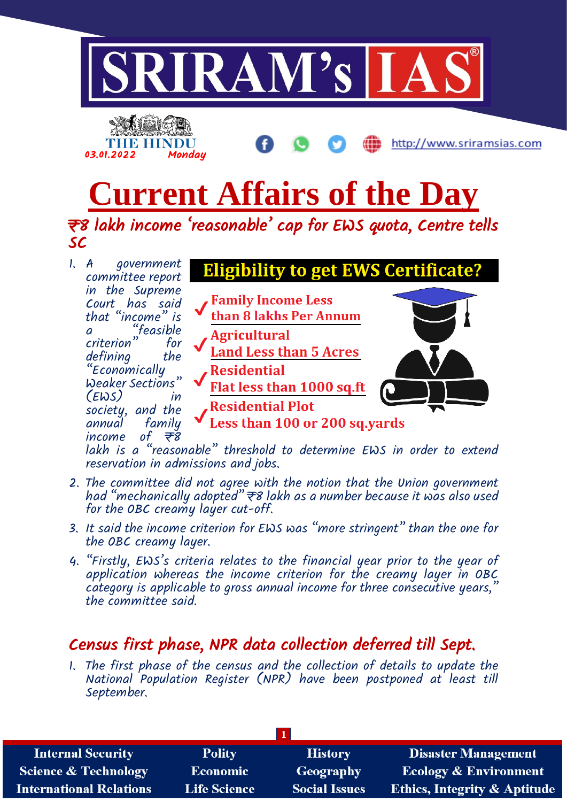

lakh is a "reasonable" threshold to determine EWS in order to extend reservation in admissions and jobs.

- 2. The committee did not agree with the notion that the Union government had "mechanically adopted"  $\overline{\tau}$ 8 lakh as a number because it was also used for the OBC creamy layer cut-off.
- 3. It said the income criterion for EWS was "more stringent" than the one for the OBC creamy layer.
- 4. "Firstly, EWS's criteria relates to the financial year prior to the year of application whereas the income criterion for the creamy layer in OBC category is applicable to gross annual income for three consecutive years, the committee said.

# Census first phase, NPR data collection deferred till Sept.

1. The first phase of the census and the collection of details to update the National Population Register (NPR) have been postponed at least till September.

| <b>Internal Security</b>        | <b>Polity</b>       | <b>History</b>       | <b>Disaster Management</b>              |
|---------------------------------|---------------------|----------------------|-----------------------------------------|
| <b>Science &amp; Technology</b> | <b>Economic</b>     | <b>Geography</b>     | <b>Ecology &amp; Environment</b>        |
| <b>International Relations</b>  | <b>Life Science</b> | <b>Social Issues</b> | <b>Ethics, Integrity &amp; Aptitude</b> |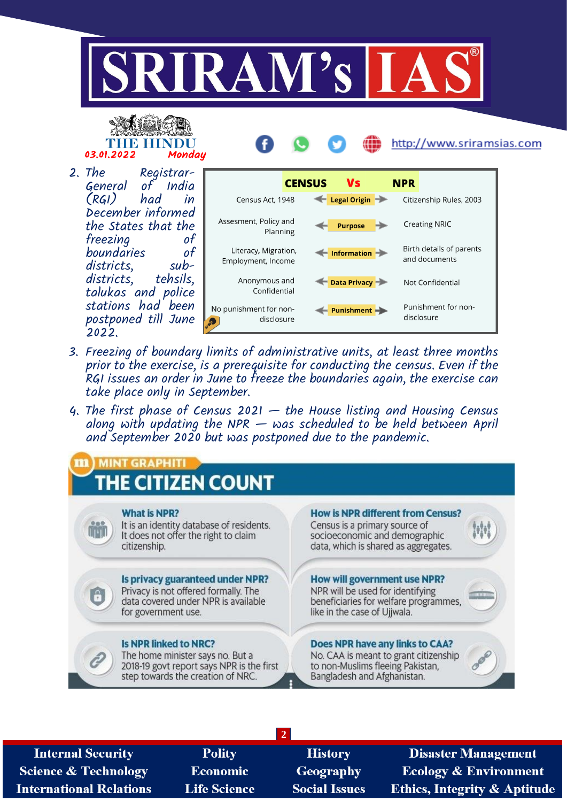





2. The Registrarof India<br>had in  $(RGI)$ December informed the States that the<br>freezing of freezing of<br>boundaries of boundaries of<br>districts. subdistricts, sub-<br>districts, tehsils. districts, talukas and police stations had been postponed till June 2022.



- 3. Freezing of boundary limits of administrative units, at least three months prior to the exercise, is a prerequisite for conducting the census. Even if the RGI issues an order in June to freeze the boundaries again, the exercise can take place only in September.
- 4. The first phase of Census 2021  $-$  the House listing and Housing Census along with updating the NPR  $-$  was scheduled to be held between April and September 2020 but was postponed due to the pandemic.



**2**

**Internal Security Science & Technology International Relations** 

**Polity Economic Life Science** 

**History** Geography **Social Issues** 

**Disaster Management Ecology & Environment Ethics, Integrity & Aptitude**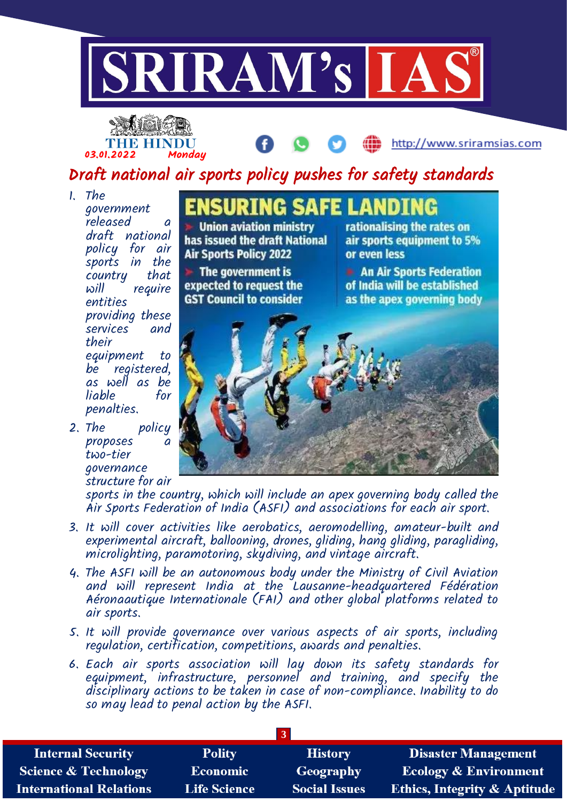



# Draft national air sports policy pushes for safety standards

- 1. The government released a draft national policy for air sports in the<br>country that country will require entities providing these services and their equipment to be registered, as well as be liable penalties.
- 2. The policy proposes two-tier governance structure for air

**SAFEL Union aviation ministry** has issued the draft National **Air Sports Policy 2022** 

 $\blacktriangleright$  The government is expected to request the **GST Council to consider** 

rationalising the rates on air sports equipment to 5% or even less

http://www.sriramsias.com

**An Air Sports Federation** of India will be established as the apex governing body



sports in the country, which will include an apex governing body called the Air Sports Federation of India (ASFI) and associations for each air sport.

- 3. It will cover activities like aerobatics, aeromodelling, amateur-built and experimental aircraft, ballooning, drones, gliding, hang gliding, paragliding, microlighting, paramotoring, skydiving, and vintage aircraft.
- 4. The ASFI will be an autonomous body under the Ministry of Civil Aviation and will represent India at the Lausanne-headquartered Fédération Aéronaautique Internationale (FAI) and other global platforms related to air sports.
- 5. It will provide governance over various aspects of air sports, including regulation, certification, competitions, awards and penalties.
- 6. Each air sports association will lay down its safety standards for equipment, infrastructure, personnel and training, and specify the disciplinary actions to be taken in case of non-compliance. Inability to do so may lead to penal action by the ASFI.

| <b>Internal Security</b>        | <b>Polity</b>       | <b>History</b>       | <b>Disaster Management</b>              |
|---------------------------------|---------------------|----------------------|-----------------------------------------|
| <b>Science &amp; Technology</b> | Economic            | Geography            | <b>Ecology &amp; Environment</b>        |
| <b>International Relations</b>  | <b>Life Science</b> | <b>Social Issues</b> | <b>Ethics, Integrity &amp; Aptitude</b> |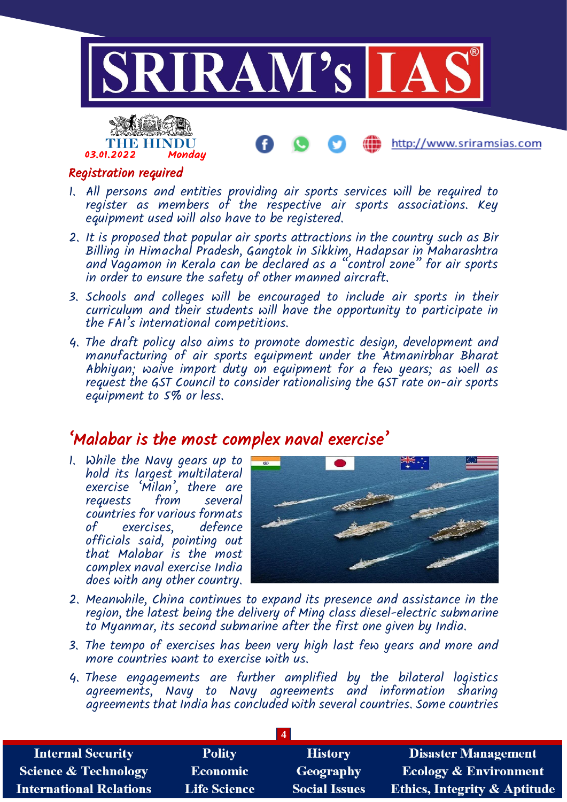

### Registration required

03.01.2022 Monday

THE HINDU

- 1. All persons and entities providing air sports services will be required to register as members of the respective air sports associations. Key equipment used will also have to be registered.
- 2. It is proposed that popular air sports attractions in the country such as Bir Billing in Himachal Pradesh, Gangtok in Sikkim, Hadapsar in Maharashtra and Vagamon in Kerala can be declared as a "control zone" for air sports in order to ensure the safety of other manned aircraft.
- 3. Schools and colleges will be encouraged to include air sports in their curriculum and their students will have the opportunity to participate in the FAI's international competitions.
- 4. The draft policy also aims to promote domestic design, development and manufacturing of air sports equipment under the Atmanirbhar Bharat Abhiyan; waive import duty on equipment for a few years; as well as request the GST Council to consider rationalising the GST rate on-air sports equipment to 5% or less.

# 'Malabar is the most complex naval exercise'

1. While the Navy gears up to hold its largest multilateral exercise 'Milan', there are requests from several countries for various formats of exercises, officials said, pointing out that Malabar is the most complex naval exercise India does with any other country.



http://www.sriramsias.com

- 2. Meanwhile, China continues to expand its presence and assistance in the region, the latest being the delivery of Ming class diesel-electric submarine to Myanmar, its second submarine after the first one given by India.
- 3. The tempo of exercises has been very high last few years and more and more countries want to exercise with us.
- 4. These engagements are further amplified by the bilateral logistics agreements, Navy to Navy agreements and information sharing agreements that India has concluded with several countries. Some countries

| <b>Internal Security</b>        | <b>Polity</b>       | <b>History</b>       | <b>Disaster Management</b>              |
|---------------------------------|---------------------|----------------------|-----------------------------------------|
| <b>Science &amp; Technology</b> | <b>Economic</b>     | Geography            | <b>Ecology &amp; Environment</b>        |
| <b>International Relations</b>  | <b>Life Science</b> | <b>Social Issues</b> | <b>Ethics, Integrity &amp; Aptitude</b> |